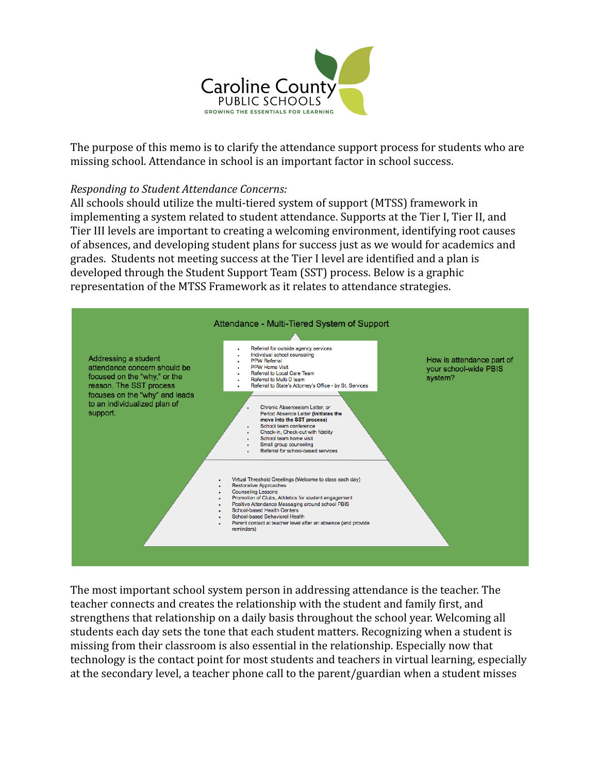

The purpose of this memo is to clarify the attendance support process for students who are missing school. Attendance in school is an important factor in school success.

## *Responding to Student Attendance Concerns:*

All schools should utilize the multi-tiered system of support (MTSS) framework in implementing a system related to student attendance. Supports at the Tier I, Tier II, and Tier III levels are important to creating a welcoming environment, identifying root causes of absences, and developing student plans for success just as we would for academics and grades. Students not meeting success at the Tier I level are identified and a plan is developed through the Student Support Team (SST) process. Below is a graphic representation of the MTSS Framework as it relates to attendance strategies.



The most important school system person in addressing attendance is the teacher. The teacher connects and creates the relationship with the student and family first, and strengthens that relationship on a daily basis throughout the school year. Welcoming all students each day sets the tone that each student matters. Recognizing when a student is missing from their classroom is also essential in the relationship. Especially now that technology is the contact point for most students and teachers in virtual learning, especially at the secondary level, a teacher phone call to the parent/guardian when a student misses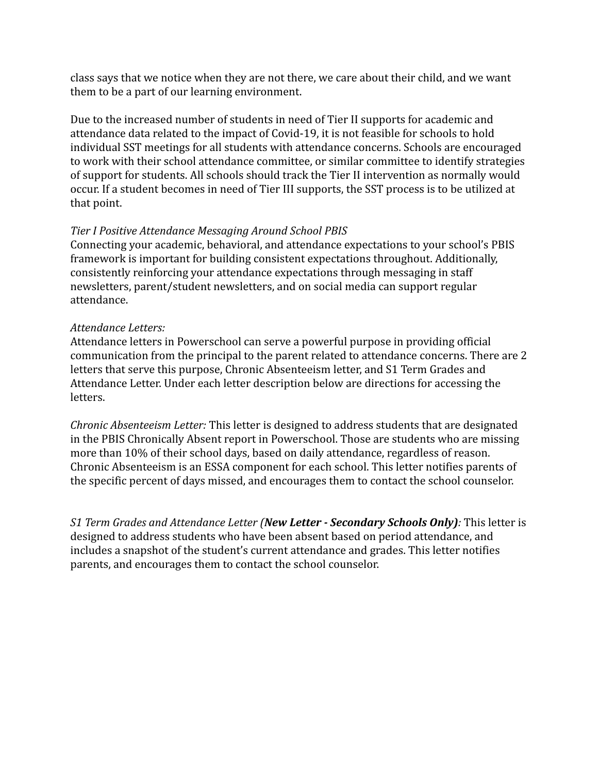class says that we notice when they are not there, we care about their child, and we want them to be a part of our learning environment.

Due to the increased number of students in need of Tier II supports for academic and attendance data related to the impact of Covid-19, it is not feasible for schools to hold individual SST meetings for all students with attendance concerns. Schools are encouraged to work with their school attendance committee, or similar committee to identify strategies of support for students. All schools should track the Tier II intervention as normally would occur. If a student becomes in need of Tier III supports, the SST process is to be utilized at that point.

## *Tier I Positive Attendance Messaging Around School PBIS*

Connecting your academic, behavioral, and attendance expectations to your school's PBIS framework is important for building consistent expectations throughout. Additionally, consistently reinforcing your attendance expectations through messaging in staff newsletters, parent/student newsletters, and on social media can support regular attendance.

### *Attendance Letters:*

Attendance letters in Powerschool can serve a powerful purpose in providing official communication from the principal to the parent related to attendance concerns. There are 2 letters that serve this purpose, Chronic Absenteeism letter, and S1 Term Grades and Attendance Letter. Under each letter description below are directions for accessing the letters.

*Chronic Absenteeism Letter:* This letter is designed to address students that are designated in the PBIS Chronically Absent report in Powerschool. Those are students who are missing more than 10% of their school days, based on daily attendance, regardless of reason. Chronic Absenteeism is an ESSA component for each school. This letter notifies parents of the specific percent of days missed, and encourages them to contact the school counselor.

*S1 Term Grades and Attendance Letter (New Letter - Secondary Schools Only):* This letter is designed to address students who have been absent based on period attendance, and includes a snapshot of the student's current attendance and grades. This letter notifies parents, and encourages them to contact the school counselor.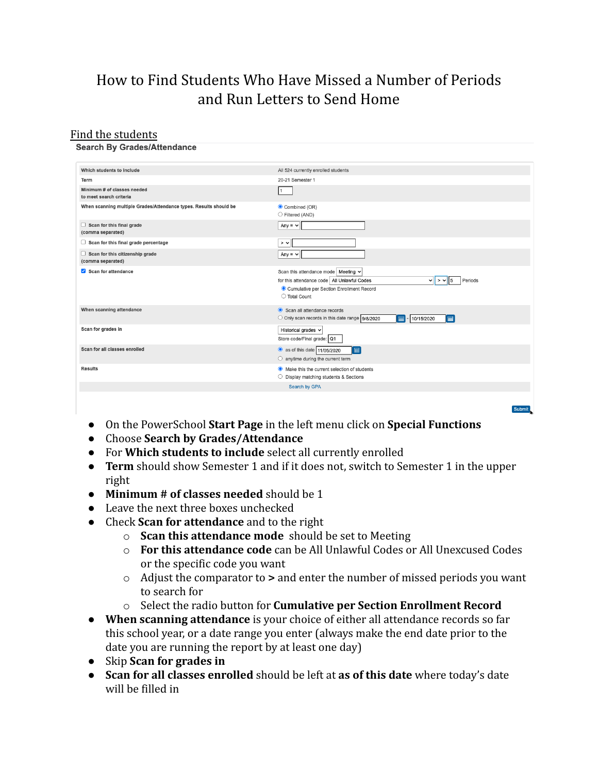# How to Find Students Who Have Missed a Number of Periods and Run Letters to Send Home

### Find the students

#### **Search By Grades/Attendance**

| Which students to include                                         | All 524 currently enrolled students                                                                                                                                                               |
|-------------------------------------------------------------------|---------------------------------------------------------------------------------------------------------------------------------------------------------------------------------------------------|
| Term                                                              | 20-21 Semester 1                                                                                                                                                                                  |
| Minimum # of classes needed<br>to meet search criteria            | $\vert$ 1                                                                                                                                                                                         |
| When scanning multiple Grades/Attendance types. Results should be | Combined (OR)<br>◯ Filtered (AND)                                                                                                                                                                 |
| Scan for this final grade<br>(comma separated)                    | Any = $\vee$                                                                                                                                                                                      |
| $\Box$ Scan for this final grade percentage                       | $>$ $\sim$                                                                                                                                                                                        |
| Scan for this citizenship grade<br>(comma separated)              | Any = $\sim$                                                                                                                                                                                      |
| Scan for attendance                                               | Scan this attendance mode   Meeting $\vee$<br>for this attendance code   All Unlawful Codes<br>Periods<br>$\vee$ $\vee$ > $\vee$   5<br>Cumulative per Section Enrollment Record<br>◯ Total Count |
| When scanning attendance                                          | Scan all attendance records<br>O Only scan records in this date range 9/8/2020<br>■<br>扁<br>10/15/2020                                                                                            |
| Scan for grades in                                                | Historical grades v<br>Store code/Final grade: Q1                                                                                                                                                 |
| Scan for all classes enrolled                                     | as of this date 11/05/2020<br>■<br>$\circlearrowright$ anytime during the current term                                                                                                            |
| <b>Results</b>                                                    | • Make this the current selection of students<br>◯ Display matching students & Sections                                                                                                           |
|                                                                   | Search by GPA                                                                                                                                                                                     |
|                                                                   |                                                                                                                                                                                                   |
|                                                                   |                                                                                                                                                                                                   |

- On the PowerSchool **Start Page** in the left menu click on **Special Functions**
- Choose **Search by Grades/Attendance**
- For **Which students to include** select all currently enrolled
- **Term** should show Semester 1 and if it does not, switch to Semester 1 in the upper right
- **Minimum # of classes needed** should be 1
- Leave the next three boxes unchecked
- Check **Scan for attendance** and to the right
	- o **Scan this attendance mode** should be set to Meeting
	- o **For this attendance code** can be All Unlawful Codes or All Unexcused Codes or the specific code you want
	- o Adjust the comparator to **>** and enter the number of missed periods you want to search for
	- o Select the radio button for **Cumulative per Section Enrollment Record**
- **When scanning attendance** is your choice of either all attendance records so far this school year, or a date range you enter (always make the end date prior to the date you are running the report by at least one day)
- Skip **Scan for grades in**
- **Scan for all classes enrolled** should be left at **as of this date** where today's date will be filled in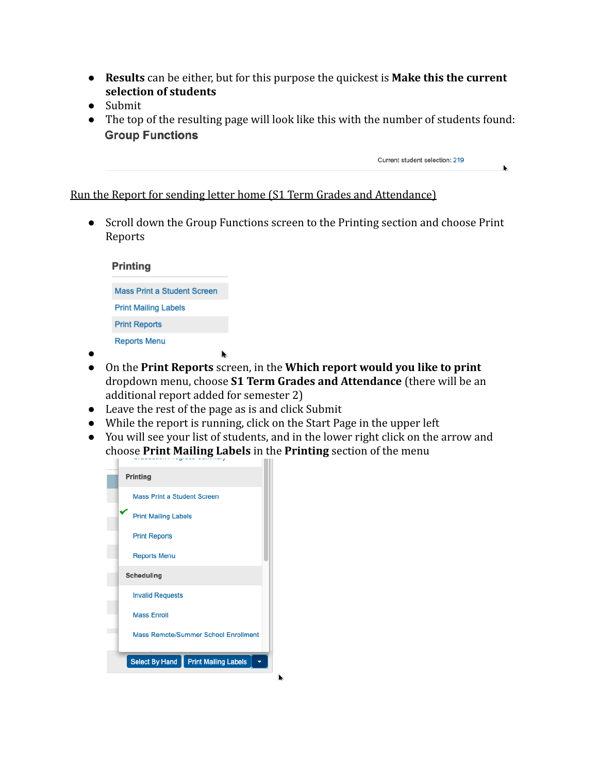- **Results** can be either, but for this purpose the quickest is **Make this the current selection of students**
- Submit
- The top of the resulting page will look like this with the number of students found: **Group Functions**

Current student selection: 219

Run the Report for sending letter home (S1 Term Grades and Attendance)

● Scroll down the Group Functions screen to the Printing section and choose Print Reports

| <b>Printing</b>             |
|-----------------------------|
|                             |
| Mass Print a Student Screen |
| <b>Print Mailing Labels</b> |
|                             |
| <b>Print Reports</b>        |
| <b>Reports Menu</b>         |

- ●
- On the **Print Reports** screen, in the **Which report would you like to print** dropdown menu, choose **S1 Term Grades and Attendance** (there will be an additional report added for semester 2)
- Leave the rest of the page as is and click Submit
- While the report is running, click on the Start Page in the upper left
- You will see your list of students, and in the lower right click on the arrow and choose **Print Mailing Labels** in the **Printing** section of the menu

| Printing                                             |  |  |  |  |
|------------------------------------------------------|--|--|--|--|
| <b>Mass Print a Student Screen</b>                   |  |  |  |  |
| Print Mailing Labels                                 |  |  |  |  |
| <b>Print Reports</b>                                 |  |  |  |  |
| <b>Reports Menu</b>                                  |  |  |  |  |
| Scheduling                                           |  |  |  |  |
| <b>Invalid Requests</b>                              |  |  |  |  |
| <b>Mass Enroll</b>                                   |  |  |  |  |
| Mass Remote/Summer School Enrollment                 |  |  |  |  |
| <b>Select By Hand</b><br><b>Print Mailing Labels</b> |  |  |  |  |